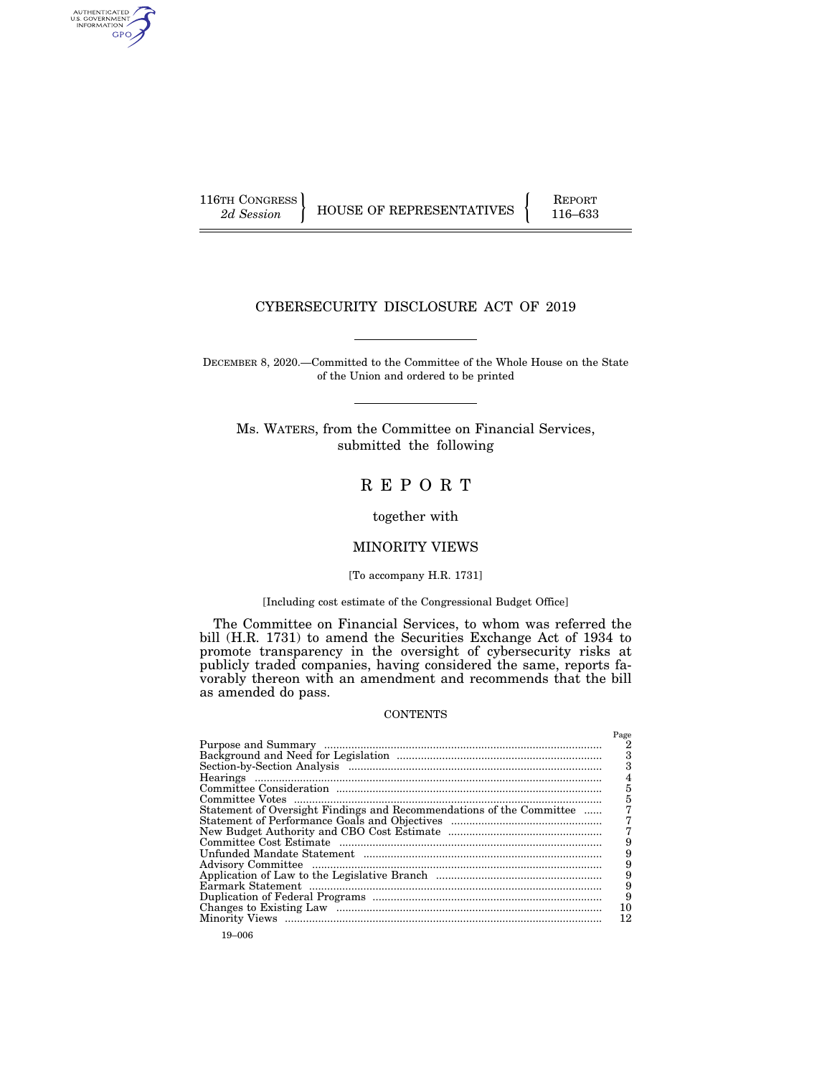AUTHENTICATED<br>U.S. GOVERNMENT<br>INFORMATION GPO

116TH CONGRESS HOUSE OF REPRESENTATIVES FEPORT 116–633

# CYBERSECURITY DISCLOSURE ACT OF 2019

DECEMBER 8, 2020.—Committed to the Committee of the Whole House on the State of the Union and ordered to be printed

Ms. WATERS, from the Committee on Financial Services, submitted the following

# R E P O R T

together with

# MINORITY VIEWS

# [To accompany H.R. 1731]

#### [Including cost estimate of the Congressional Budget Office]

The Committee on Financial Services, to whom was referred the bill (H.R. 1731) to amend the Securities Exchange Act of 1934 to promote transparency in the oversight of cybersecurity risks at publicly traded companies, having considered the same, reports favorably thereon with an amendment and recommends that the bill as amended do pass.

#### **CONTENTS**

|                                                                      | Page |
|----------------------------------------------------------------------|------|
|                                                                      | 2    |
|                                                                      | 3    |
|                                                                      | 3    |
|                                                                      |      |
|                                                                      | 5    |
|                                                                      | 5    |
| Statement of Oversight Findings and Recommendations of the Committee |      |
|                                                                      |      |
|                                                                      |      |
|                                                                      | 9    |
|                                                                      | 9    |
|                                                                      | 9    |
|                                                                      | 9    |
|                                                                      | 9    |
|                                                                      | 9    |
|                                                                      | 10   |
|                                                                      | 12   |
|                                                                      |      |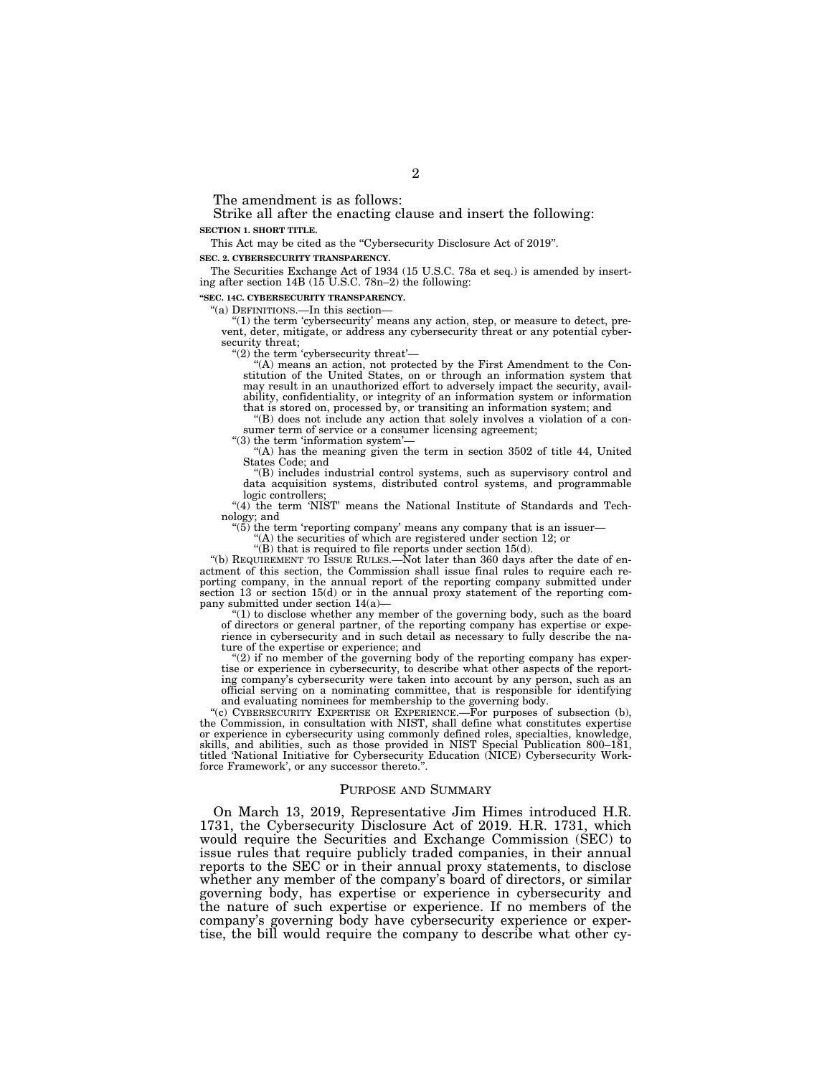The amendment is as follows:

Strike all after the enacting clause and insert the following: **SECTION 1. SHORT TITLE.** 

This Act may be cited as the "Cybersecurity Disclosure Act of 2019".

**SEC. 2. CYBERSECURITY TRANSPARENCY.** 

The Securities Exchange Act of 1934 (15 U.S.C. 78a et seq.) is amended by inserting after section 14B (15 U.S.C. 78n–2) the following:

**''SEC. 14C. CYBERSECURITY TRANSPARENCY.** 

''(a) DEFINITIONS.—In this section—

"(1) the term 'cybersecurity' means any action, step, or measure to detect, prevent, deter, mitigate, or address any cybersecurity threat or any potential cybersecurity threat;

"(2) the term 'cybersecurity threat'—

''(A) means an action, not protected by the First Amendment to the Constitution of the United States, on or through an information system that may result in an unauthorized effort to adversely impact the security, availability, confidentiality, or integrity of an information system or information that is stored on, processed by, or transiting an information system; and

''(B) does not include any action that solely involves a violation of a consumer term of service or a consumer licensing agreement;

" $(3)$  the term 'information system'

''(A) has the meaning given the term in section 3502 of title 44, United States Code; and

''(B) includes industrial control systems, such as supervisory control and data acquisition systems, distributed control systems, and programmable logic controllers;

"(4) the term 'NIST' means the National Institute of Standards and Technology; and

 $(5)$  the term 'reporting company' means any company that is an issuer-

''(A) the securities of which are registered under section 12; or

''(B) that is required to file reports under section 15(d). ''(b) REQUIREMENT TO ISSUE RULES.—Not later than 360 days after the date of enactment of this section, the Commission shall issue final rules to require each reporting company, in the annual report of the reporting company submitted under section 13 or section 15(d) or in the annual proxy statement of the reporting company submitted under section 14(a)—

 $(1)$  to disclose whether any member of the governing body, such as the board of directors or general partner, of the reporting company has expertise or experience in cybersecurity and in such detail as necessary to fully describe the nature of the expertise or experience; and

"(2) if no member of the governing body of the reporting company has expertise or experience in cybersecurity, to describe what other aspects of the reporting company's cybersecurity were taken into account by any person, such as an official serving on a nominating committee, that is responsible for identifying and evaluating nominees for membership to the governing body.

''(c) CYBERSECURITY EXPERTISE OR EXPERIENCE.—For purposes of subsection (b), the Commission, in consultation with NIST, shall define what constitutes expertise or experience in cybersecurity using commonly defined roles, specialties, knowledge, skills, and abilities, such as those provided in NIST Special Publication 800–181, titled 'National Initiative for Cybersecurity Education (NICE) Cybersecurity Workforce Framework', or any successor thereto.''.

#### PURPOSE AND SUMMARY

On March 13, 2019, Representative Jim Himes introduced H.R. 1731, the Cybersecurity Disclosure Act of 2019. H.R. 1731, which would require the Securities and Exchange Commission (SEC) to issue rules that require publicly traded companies, in their annual reports to the SEC or in their annual proxy statements, to disclose whether any member of the company's board of directors, or similar governing body, has expertise or experience in cybersecurity and the nature of such expertise or experience. If no members of the company's governing body have cybersecurity experience or expertise, the bill would require the company to describe what other cy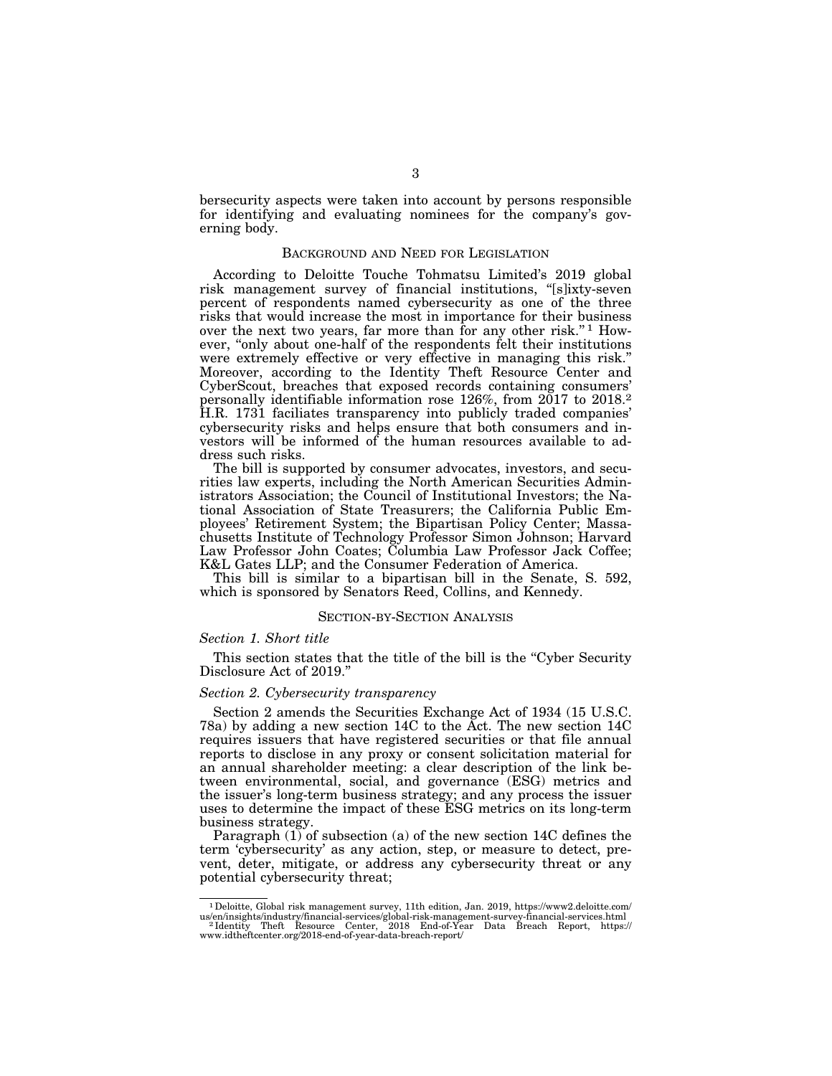bersecurity aspects were taken into account by persons responsible for identifying and evaluating nominees for the company's governing body.

# BACKGROUND AND NEED FOR LEGISLATION

According to Deloitte Touche Tohmatsu Limited's 2019 global risk management survey of financial institutions, ''[s]ixty-seven percent of respondents named cybersecurity as one of the three risks that would increase the most in importance for their business over the next two years, far more than for any other risk."<sup>1</sup> However, "only about one-half of the respondents felt their institutions were extremely effective or very effective in managing this risk.'' Moreover, according to the Identity Theft Resource Center and CyberScout, breaches that exposed records containing consumers' personally identifiable information rose 126%, from 2017 to 2018.2 H.R. 1731 faciliates transparency into publicly traded companies' cybersecurity risks and helps ensure that both consumers and investors will be informed of the human resources available to address such risks.

The bill is supported by consumer advocates, investors, and securities law experts, including the North American Securities Administrators Association; the Council of Institutional Investors; the National Association of State Treasurers; the California Public Employees' Retirement System; the Bipartisan Policy Center; Massachusetts Institute of Technology Professor Simon Johnson; Harvard Law Professor John Coates; Columbia Law Professor Jack Coffee; K&L Gates LLP; and the Consumer Federation of America.

This bill is similar to a bipartisan bill in the Senate, S. 592, which is sponsored by Senators Reed, Collins, and Kennedy.

### SECTION-BY-SECTION ANALYSIS

#### *Section 1. Short title*

This section states that the title of the bill is the "Cyber Security Disclosure Act of 2019.''

# *Section 2. Cybersecurity transparency*

Section 2 amends the Securities Exchange Act of 1934 (15 U.S.C. 78a) by adding a new section 14C to the Act. The new section 14C requires issuers that have registered securities or that file annual reports to disclose in any proxy or consent solicitation material for an annual shareholder meeting: a clear description of the link between environmental, social, and governance (ESG) metrics and the issuer's long-term business strategy; and any process the issuer uses to determine the impact of these ESG metrics on its long-term business strategy.

Paragraph (1) of subsection (a) of the new section 14C defines the term 'cybersecurity' as any action, step, or measure to detect, prevent, deter, mitigate, or address any cybersecurity threat or any potential cybersecurity threat;

<sup>1</sup>Deloitte, Global risk management survey, 11th edition, Jan. 2019, https://www2.deloitte.com/ us/en/insights/industry/financial-services/global-risk-management-survey-financial-services.html<br>"Identity Theft Resource Center, 2018 End-of-Year Data Breach Report, https://<br>www.idtheftcenter.org/2018-end-of-year-data-br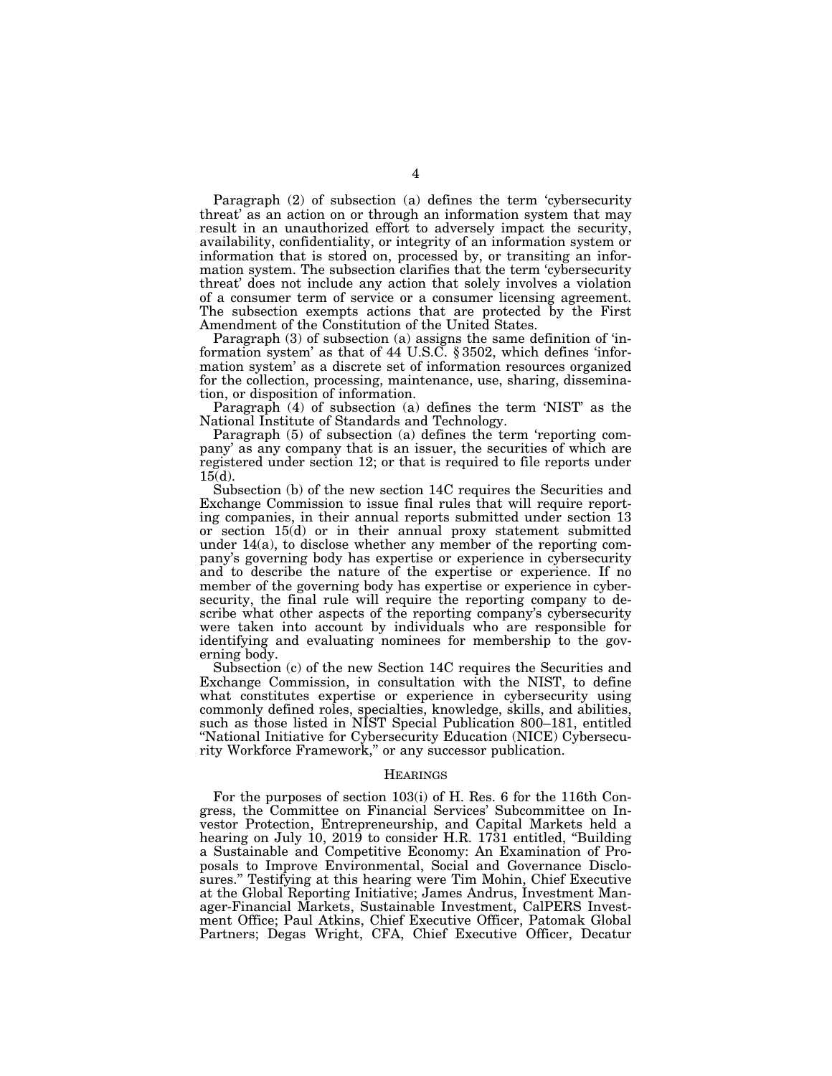Paragraph (2) of subsection (a) defines the term 'cybersecurity threat' as an action on or through an information system that may result in an unauthorized effort to adversely impact the security, availability, confidentiality, or integrity of an information system or information that is stored on, processed by, or transiting an information system. The subsection clarifies that the term 'cybersecurity threat' does not include any action that solely involves a violation of a consumer term of service or a consumer licensing agreement. The subsection exempts actions that are protected by the First Amendment of the Constitution of the United States.

Paragraph (3) of subsection (a) assigns the same definition of 'information system' as that of 44 U.S.C. § 3502, which defines 'information system' as a discrete set of information resources organized for the collection, processing, maintenance, use, sharing, dissemination, or disposition of information.

Paragraph (4) of subsection (a) defines the term 'NIST' as the National Institute of Standards and Technology.

Paragraph (5) of subsection (a) defines the term 'reporting company' as any company that is an issuer, the securities of which are registered under section 12; or that is required to file reports under 15(d).

Subsection (b) of the new section 14C requires the Securities and Exchange Commission to issue final rules that will require reporting companies, in their annual reports submitted under section 13 or section 15(d) or in their annual proxy statement submitted under 14(a), to disclose whether any member of the reporting company's governing body has expertise or experience in cybersecurity and to describe the nature of the expertise or experience. If no member of the governing body has expertise or experience in cybersecurity, the final rule will require the reporting company to describe what other aspects of the reporting company's cybersecurity were taken into account by individuals who are responsible for identifying and evaluating nominees for membership to the governing body.

Subsection (c) of the new Section 14C requires the Securities and Exchange Commission, in consultation with the NIST, to define what constitutes expertise or experience in cybersecurity using commonly defined roles, specialties, knowledge, skills, and abilities, such as those listed in NIST Special Publication 800-181, entitled ''National Initiative for Cybersecurity Education (NICE) Cybersecurity Workforce Framework,'' or any successor publication.

#### **HEARINGS**

For the purposes of section 103(i) of H. Res. 6 for the 116th Congress, the Committee on Financial Services' Subcommittee on Investor Protection, Entrepreneurship, and Capital Markets held a hearing on July 10, 2019 to consider H.R. 1731 entitled, ''Building a Sustainable and Competitive Economy: An Examination of Proposals to Improve Environmental, Social and Governance Disclosures." Testifying at this hearing were Tim Mohin, Chief Executive at the Global Reporting Initiative; James Andrus, Investment Manager-Financial Markets, Sustainable Investment, CalPERS Investment Office; Paul Atkins, Chief Executive Officer, Patomak Global Partners; Degas Wright, CFA, Chief Executive Officer, Decatur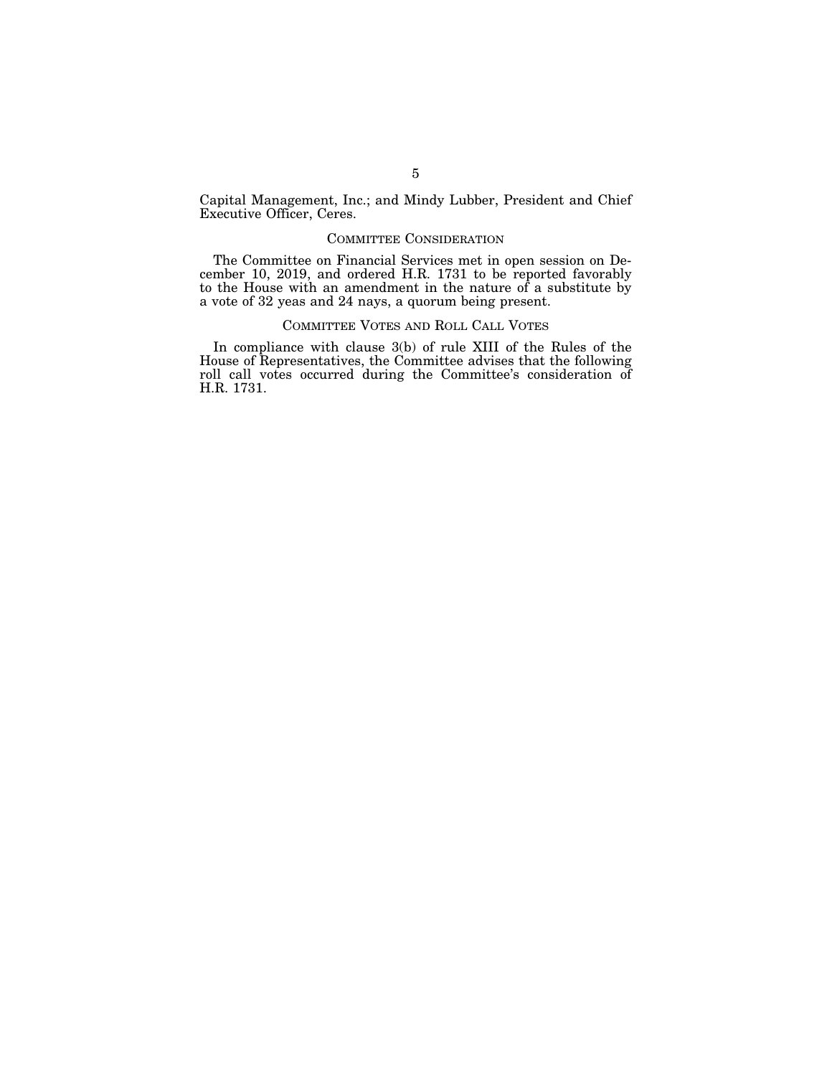Capital Management, Inc.; and Mindy Lubber, President and Chief Executive Officer, Ceres.

# COMMITTEE CONSIDERATION

The Committee on Financial Services met in open session on December 10, 2019, and ordered H.R. 1731 to be reported favorably to the House with an amendment in the nature of a substitute by a vote of 32 yeas and 24 nays, a quorum being present.

### COMMITTEE VOTES AND ROLL CALL VOTES

In compliance with clause 3(b) of rule XIII of the Rules of the House of Representatives, the Committee advises that the following roll call votes occurred during the Committee's consideration of H.R. 1731.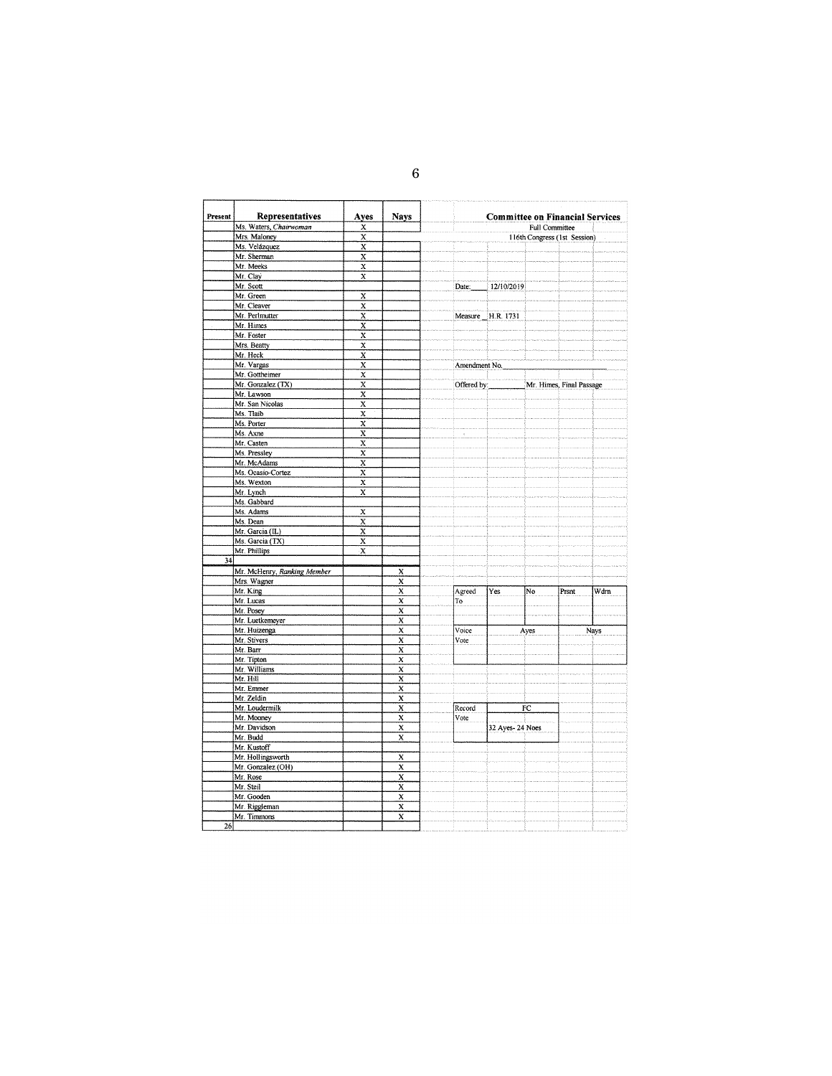| Present | Representatives             | Ayes                    | <b>Nays</b>               |                    | <b>Committee on Financial Services</b> |                |                              |      |
|---------|-----------------------------|-------------------------|---------------------------|--------------------|----------------------------------------|----------------|------------------------------|------|
|         | Ms. Waters, Chairwoman      | X                       |                           |                    |                                        | Full Committee |                              |      |
|         | Mrs. Maloney                | X                       |                           |                    |                                        |                | 116th Congress (1st Session) |      |
|         | Ms. Velázquez               | X                       |                           |                    |                                        |                |                              |      |
|         | Mr. Sherman                 | X                       |                           |                    |                                        |                |                              |      |
|         | Mr. Meeks                   | $\overline{\mathbf{x}}$ |                           |                    |                                        |                |                              |      |
|         | Mr. Clay                    | $\overline{\mathbf{x}}$ |                           |                    |                                        |                |                              |      |
|         | Mr. Scott                   |                         |                           | Date:              | 12/10/2019                             |                |                              |      |
|         | Mr. Green                   | X                       |                           |                    |                                        |                |                              |      |
|         | Mr. Cleaver                 | X                       |                           |                    |                                        |                |                              |      |
|         | Mr. Perlmutter              | X                       |                           |                    | Measure H.R. 1731                      |                |                              |      |
|         | Mr. Himes                   | X                       |                           |                    |                                        |                |                              |      |
|         | Mr. Foster                  | $\overline{\mathbf{x}}$ |                           |                    |                                        |                |                              |      |
|         | Mrs. Beatty                 | X                       |                           |                    |                                        |                |                              |      |
|         | Mr. Heck                    | X                       |                           |                    |                                        |                |                              |      |
|         | Mr. Vargas                  | X                       |                           | Amendment No.      |                                        |                |                              |      |
|         | Mr. Gottheimer              | X                       |                           |                    |                                        |                |                              |      |
|         | Mr. Gonzalez (TX)           | X                       |                           | Offered by:        |                                        |                | Mr. Himes, Final Passage     |      |
|         | Mr. Lawson                  | X                       |                           |                    |                                        |                |                              |      |
|         | Mr. San Nicolas             | X                       |                           |                    |                                        |                |                              |      |
|         | Ms. Tlaib                   | X                       |                           |                    |                                        |                |                              |      |
|         | Ms. Porter                  | X                       |                           |                    |                                        |                |                              |      |
|         | Ms. Axne                    | X                       |                           | $\bar{\mathbf{x}}$ |                                        |                |                              |      |
|         | Mr. Casten                  | X                       |                           |                    |                                        |                |                              |      |
|         | Ms. Pressley                | $\overline{\mathbf{x}}$ |                           |                    |                                        |                |                              |      |
|         | Mr. McAdams                 | X                       |                           |                    |                                        |                |                              |      |
|         | Ms. Ocasio-Cortez           | X                       |                           |                    |                                        |                |                              |      |
|         | Ms. Wexton                  | $\overline{\mathbf{x}}$ |                           |                    |                                        |                |                              |      |
|         | Mr. Lynch                   | $\overline{\mathbf{x}}$ |                           |                    |                                        |                |                              |      |
|         | Ms. Gabbard                 |                         |                           |                    |                                        |                |                              |      |
|         | Ms. Adams                   | X                       |                           |                    |                                        |                |                              |      |
|         | Ms. Dean                    | x                       |                           |                    |                                        |                |                              |      |
|         |                             |                         |                           |                    |                                        |                |                              |      |
|         | Mr. Garcia (IL)             | X                       |                           |                    |                                        |                |                              |      |
|         | Ms. Garcia (TX)             | $\overline{\mathbf{x}}$ |                           |                    |                                        |                |                              |      |
|         | Mr. Phillips                | X                       |                           |                    |                                        |                |                              |      |
| 34      |                             |                         |                           |                    |                                        |                |                              |      |
|         | Mr. McHenry, Ranking Member |                         | x                         |                    |                                        |                |                              |      |
|         | Mrs. Wagner                 |                         | $\boldsymbol{\mathsf{x}}$ |                    |                                        |                |                              |      |
|         | Mr. King                    |                         | X                         | Agreed             | Yes                                    | No             | Prsnt                        | Wdrn |
|         | Mr. Lucas                   |                         | $\overline{\mathbf{x}}$   | To                 |                                        |                |                              |      |
|         | Mr. Posey                   |                         | X                         |                    |                                        |                |                              |      |
|         | Mr. Luetkemeyer             |                         | X                         |                    |                                        |                |                              |      |
|         | Mr. Huizenga                |                         | X                         | Voice              |                                        | Ayes           |                              | Nays |
|         | Mr. Stivers                 |                         | X                         | Vote               |                                        |                |                              |      |
|         | Mr. Barr                    |                         | $\mathbf x$               |                    |                                        |                |                              |      |
|         | Mr. Tipton                  |                         | x                         |                    |                                        |                |                              |      |
|         | Mr. Williams                |                         | X                         |                    |                                        |                |                              |      |
|         | Mr. Hill                    |                         | X                         |                    |                                        |                |                              |      |
|         | Mr. Emmer                   |                         | $\overline{\mathbf{x}}$   |                    |                                        |                |                              |      |
|         | Mr. Zeldin                  |                         | X                         |                    |                                        |                |                              |      |
|         | Mr. Loudermilk              |                         | X                         | Record             |                                        | FC             |                              |      |
|         | Mr. Mooney                  |                         | $\overline{\mathbf{x}}$   | Vote               |                                        |                |                              |      |
|         | Mr. Davidson                |                         | X                         |                    | 32 Ayes-24 Noes                        |                |                              |      |
|         | Mr. Budd                    |                         | x                         |                    |                                        |                |                              |      |
|         | Mr. Kustoff                 |                         |                           |                    |                                        |                |                              |      |
|         | Mr. Hollingsworth           |                         | X                         |                    |                                        |                |                              |      |
|         | Mr. Gonzalez (OH)           |                         | x                         |                    |                                        |                |                              |      |
|         | Mr. Rose                    |                         | $\overline{\mathbf{x}}$   |                    |                                        |                |                              |      |
|         | Mr. Steil                   |                         | X                         |                    |                                        |                |                              |      |
|         |                             |                         |                           |                    |                                        |                |                              |      |
|         | Mr. Gooden                  |                         | x                         |                    |                                        |                |                              |      |
|         | Mr. Riggleman               |                         | $\overline{\mathbf{x}}$   |                    |                                        |                |                              |      |
|         | Mr. Timmons                 |                         | $\overline{\mathbf{x}}$   |                    |                                        |                |                              |      |
| 26      |                             |                         |                           |                    |                                        |                |                              |      |

6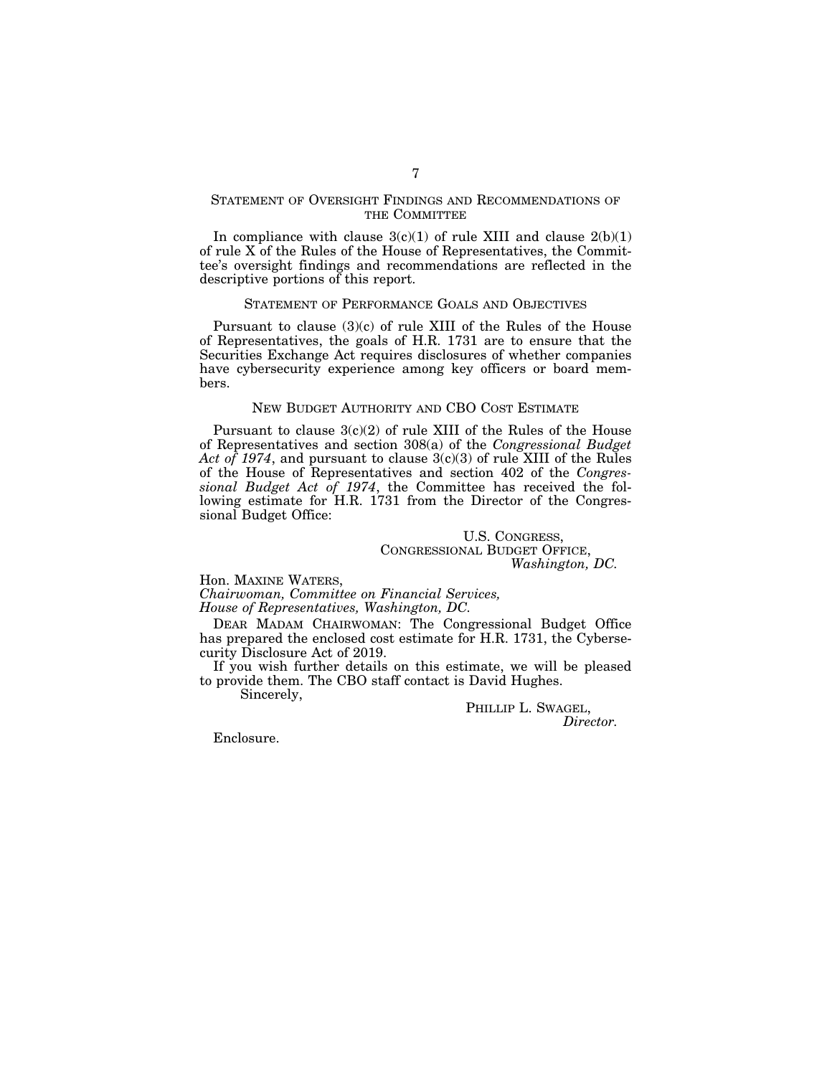# STATEMENT OF OVERSIGHT FINDINGS AND RECOMMENDATIONS OF THE COMMITTEE

In compliance with clause  $3(c)(1)$  of rule XIII and clause  $2(b)(1)$ of rule X of the Rules of the House of Representatives, the Committee's oversight findings and recommendations are reflected in the descriptive portions of this report.

#### STATEMENT OF PERFORMANCE GOALS AND OBJECTIVES

Pursuant to clause (3)(c) of rule XIII of the Rules of the House of Representatives, the goals of H.R. 1731 are to ensure that the Securities Exchange Act requires disclosures of whether companies have cybersecurity experience among key officers or board members.

## NEW BUDGET AUTHORITY AND CBO COST ESTIMATE

Pursuant to clause 3(c)(2) of rule XIII of the Rules of the House of Representatives and section 308(a) of the *Congressional Budget Act of 1974*, and pursuant to clause 3(c)(3) of rule XIII of the Rules of the House of Representatives and section 402 of the *Congressional Budget Act of 1974*, the Committee has received the following estimate for H.R. 1731 from the Director of the Congressional Budget Office:

> U.S. CONGRESS, CONGRESSIONAL BUDGET OFFICE, *Washington, DC.*

Hon. MAXINE WATERS,

*Chairwoman, Committee on Financial Services, House of Representatives, Washington, DC.* 

DEAR MADAM CHAIRWOMAN: The Congressional Budget Office has prepared the enclosed cost estimate for H.R. 1731, the Cybersecurity Disclosure Act of 2019.

If you wish further details on this estimate, we will be pleased to provide them. The CBO staff contact is David Hughes.

Sincerely,

PHILLIP L. SWAGEL,

*Director.* 

Enclosure.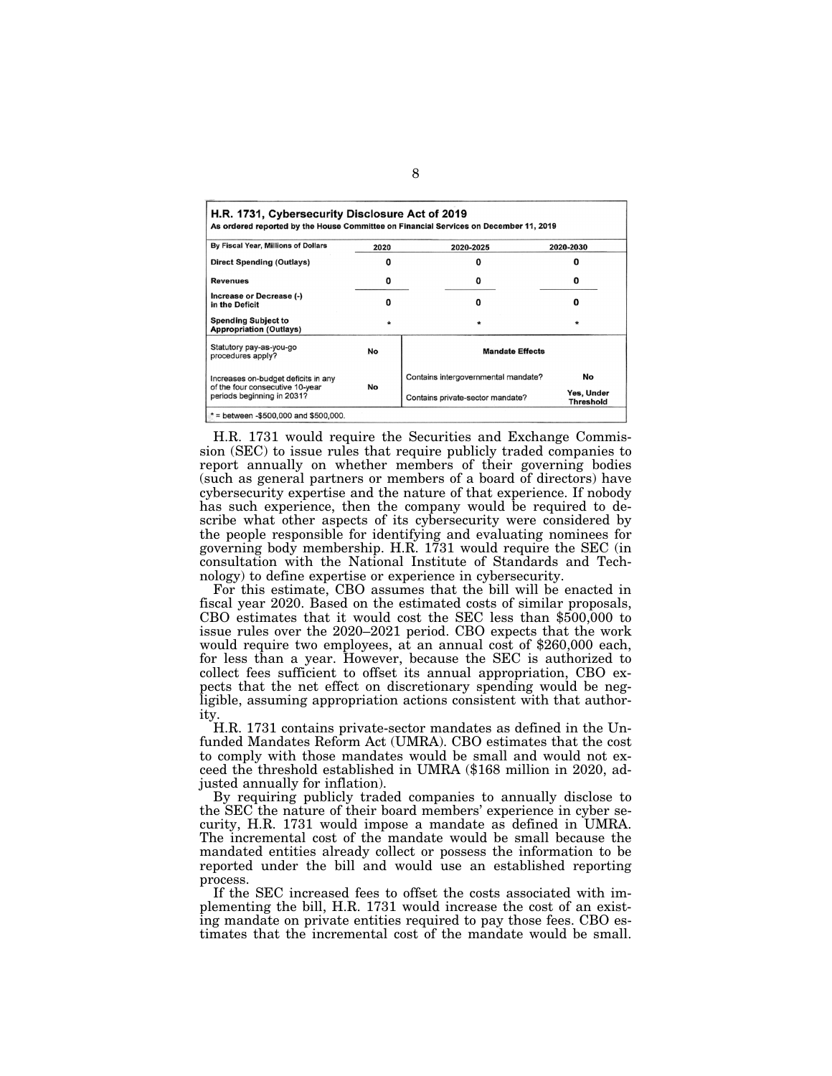| H.R. 1731, Cybersecurity Disclosure Act of 2019               |      | As ordered reported by the House Committee on Financial Services on December 11, 2019 |                                |  |
|---------------------------------------------------------------|------|---------------------------------------------------------------------------------------|--------------------------------|--|
| By Fiscal Year, Millions of Dollars                           | 2020 | 2020-2025                                                                             | 2020-2030<br>o<br>o<br>o       |  |
| Direct Spending (Outlays)                                     |      |                                                                                       |                                |  |
| Revenues                                                      | 0    | 0                                                                                     |                                |  |
| Increase or Decrease (-)<br>in the Deficit                    | n    | O                                                                                     |                                |  |
| <b>Spending Subject to</b><br><b>Appropriation (Outlays)</b>  |      |                                                                                       | *                              |  |
| Statutory pay-as-you-go<br>procedures apply?                  | No   | <b>Mandate Effects</b>                                                                |                                |  |
| Increases on-budget deficits in any                           |      | Contains intergovernmental mandate?                                                   | No                             |  |
| of the four consecutive 10-year<br>periods beginning in 2031? | No   | Contains private-sector mandate?                                                      | Yes, Under<br><b>Threshold</b> |  |

H.R. 1731 would require the Securities and Exchange Commission (SEC) to issue rules that require publicly traded companies to report annually on whether members of their governing bodies (such as general partners or members of a board of directors) have cybersecurity expertise and the nature of that experience. If nobody has such experience, then the company would be required to describe what other aspects of its cybersecurity were considered by the people responsible for identifying and evaluating nominees for governing body membership. H.R. 1731 would require the SEC (in consultation with the National Institute of Standards and Technology) to define expertise or experience in cybersecurity.

For this estimate, CBO assumes that the bill will be enacted in fiscal year 2020. Based on the estimated costs of similar proposals, CBO estimates that it would cost the SEC less than \$500,000 to issue rules over the 2020–2021 period. CBO expects that the work would require two employees, at an annual cost of \$260,000 each, for less than a year. However, because the SEC is authorized to collect fees sufficient to offset its annual appropriation, CBO expects that the net effect on discretionary spending would be negligible, assuming appropriation actions consistent with that authority.

H.R. 1731 contains private-sector mandates as defined in the Unfunded Mandates Reform Act (UMRA). CBO estimates that the cost to comply with those mandates would be small and would not exceed the threshold established in UMRA (\$168 million in 2020, adjusted annually for inflation).

By requiring publicly traded companies to annually disclose to the SEC the nature of their board members' experience in cyber security, H.R. 1731 would impose a mandate as defined in UMRA. The incremental cost of the mandate would be small because the mandated entities already collect or possess the information to be reported under the bill and would use an established reporting process.

If the SEC increased fees to offset the costs associated with implementing the bill, H.R. 1731 would increase the cost of an existing mandate on private entities required to pay those fees. CBO estimates that the incremental cost of the mandate would be small.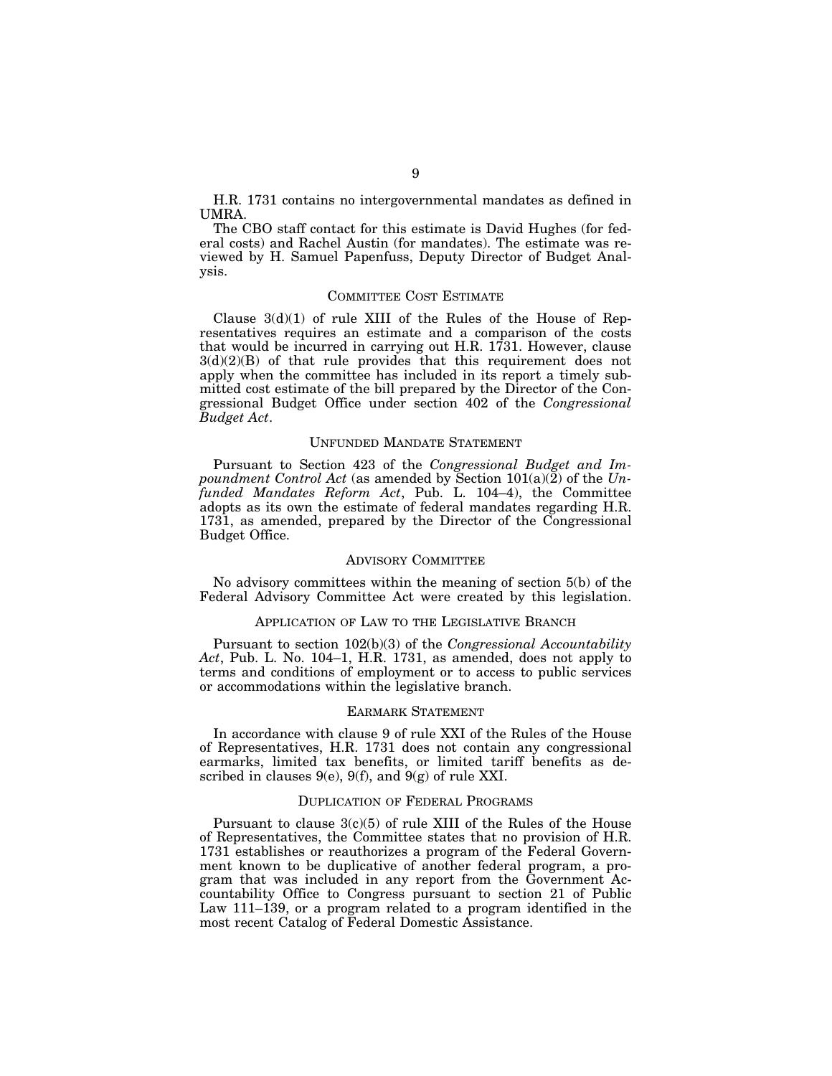H.R. 1731 contains no intergovernmental mandates as defined in UMRA.

The CBO staff contact for this estimate is David Hughes (for federal costs) and Rachel Austin (for mandates). The estimate was reviewed by H. Samuel Papenfuss, Deputy Director of Budget Analysis.

#### COMMITTEE COST ESTIMATE

Clause  $3(d)(1)$  of rule XIII of the Rules of the House of Representatives requires an estimate and a comparison of the costs that would be incurred in carrying out H.R. 1731. However, clause  $3(d)(2)(B)$  of that rule provides that this requirement does not apply when the committee has included in its report a timely submitted cost estimate of the bill prepared by the Director of the Congressional Budget Office under section 402 of the *Congressional Budget Act*.

# UNFUNDED MANDATE STATEMENT

Pursuant to Section 423 of the *Congressional Budget and Impoundment Control Act* (as amended by Section 101(a)(2) of the *Unfunded Mandates Reform Act*, Pub. L. 104–4), the Committee adopts as its own the estimate of federal mandates regarding H.R. 1731, as amended, prepared by the Director of the Congressional Budget Office.

# ADVISORY COMMITTEE

No advisory committees within the meaning of section 5(b) of the Federal Advisory Committee Act were created by this legislation.

# APPLICATION OF LAW TO THE LEGISLATIVE BRANCH

Pursuant to section 102(b)(3) of the *Congressional Accountability Act*, Pub. L. No. 104–1, H.R. 1731, as amended, does not apply to terms and conditions of employment or to access to public services or accommodations within the legislative branch.

#### EARMARK STATEMENT

In accordance with clause 9 of rule XXI of the Rules of the House of Representatives, H.R. 1731 does not contain any congressional earmarks, limited tax benefits, or limited tariff benefits as described in clauses  $9(e)$ ,  $9(f)$ , and  $9(g)$  of rule XXI.

### DUPLICATION OF FEDERAL PROGRAMS

Pursuant to clause  $3(c)(5)$  of rule XIII of the Rules of the House of Representatives, the Committee states that no provision of H.R. 1731 establishes or reauthorizes a program of the Federal Government known to be duplicative of another federal program, a program that was included in any report from the Government Accountability Office to Congress pursuant to section 21 of Public Law 111–139, or a program related to a program identified in the most recent Catalog of Federal Domestic Assistance.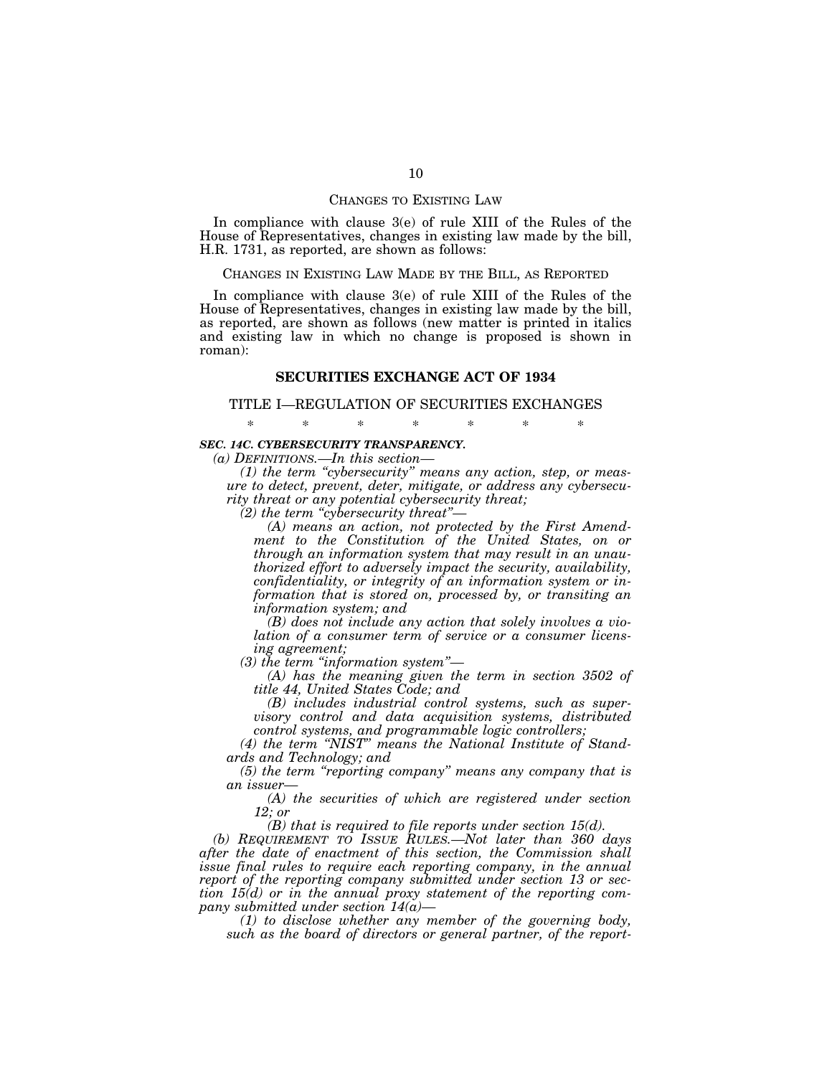#### CHANGES TO EXISTING LAW

In compliance with clause 3(e) of rule XIII of the Rules of the House of Representatives, changes in existing law made by the bill, H.R. 1731, as reported, are shown as follows:

## CHANGES IN EXISTING LAW MADE BY THE BILL, AS REPORTED

In compliance with clause 3(e) of rule XIII of the Rules of the House of Representatives, changes in existing law made by the bill, as reported, are shown as follows (new matter is printed in italics and existing law in which no change is proposed is shown in roman):

# **SECURITIES EXCHANGE ACT OF 1934**

#### TITLE I—REGULATION OF SECURITIES EXCHANGES

\* \* \* \* \* \* \*

# *SEC. 14C. CYBERSECURITY TRANSPARENCY.*

*(a) DEFINITIONS.—In this section—* 

*(1) the term ''cybersecurity'' means any action, step, or measure to detect, prevent, deter, mitigate, or address any cybersecurity threat or any potential cybersecurity threat;* 

*(2) the term ''cybersecurity threat''—* 

*(A) means an action, not protected by the First Amendment to the Constitution of the United States, on or through an information system that may result in an unauthorized effort to adversely impact the security, availability, confidentiality, or integrity of an information system or information that is stored on, processed by, or transiting an information system; and* 

*(B) does not include any action that solely involves a violation of a consumer term of service or a consumer licensing agreement;* 

*(3) the term ''information system''—* 

*(A) has the meaning given the term in section 3502 of title 44, United States Code; and* 

*(B) includes industrial control systems, such as supervisory control and data acquisition systems, distributed control systems, and programmable logic controllers;* 

*(4) the term ''NIST'' means the National Institute of Standards and Technology; and* 

*(5) the term ''reporting company'' means any company that is an issuer—* 

*(A) the securities of which are registered under section 12; or* 

*(B) that is required to file reports under section 15(d).* 

*(b) REQUIREMENT TO ISSUE RULES.—Not later than 360 days after the date of enactment of this section, the Commission shall issue final rules to require each reporting company, in the annual report of the reporting company submitted under section 13 or section 15(d) or in the annual proxy statement of the reporting company submitted under section 14(a)—* 

*(1) to disclose whether any member of the governing body, such as the board of directors or general partner, of the report-*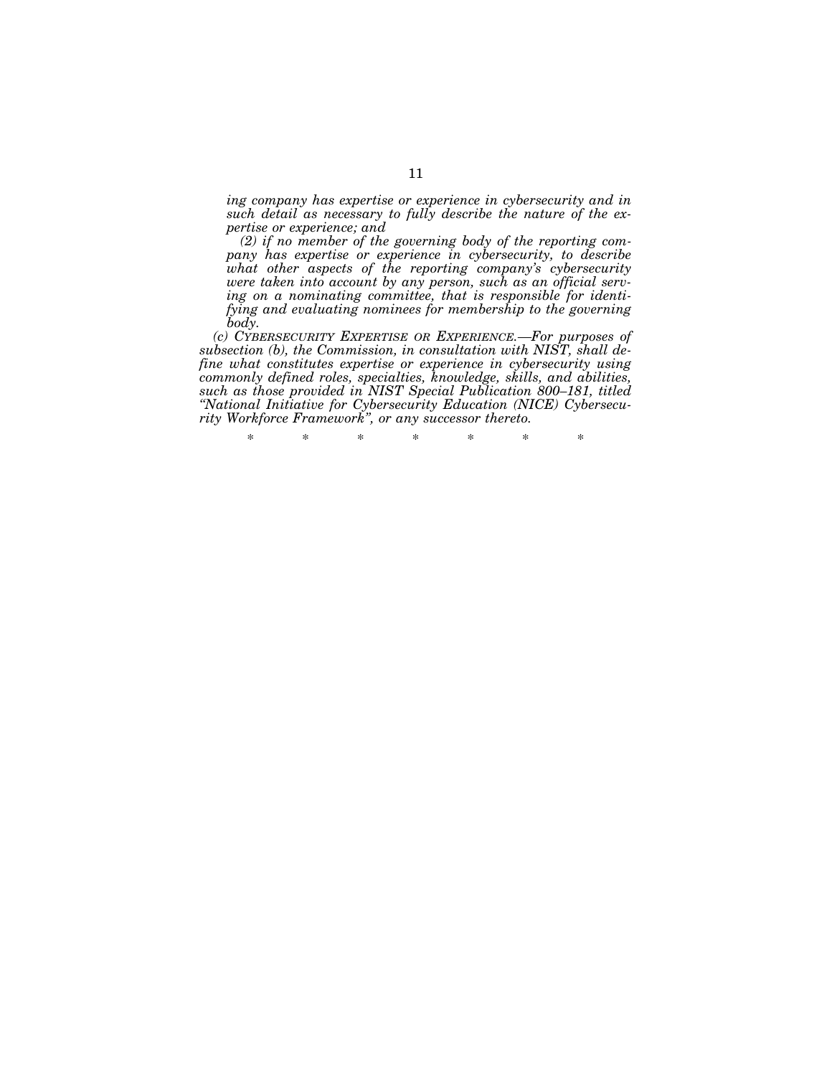*ing company has expertise or experience in cybersecurity and in such detail as necessary to fully describe the nature of the expertise or experience; and* 

*(2) if no member of the governing body of the reporting company has expertise or experience in cybersecurity, to describe what other aspects of the reporting company's cybersecurity were taken into account by any person, such as an official serving on a nominating committee, that is responsible for identifying and evaluating nominees for membership to the governing body.* 

*(c) CYBERSECURITY EXPERTISE OR EXPERIENCE.—For purposes of subsection (b), the Commission, in consultation with NIST, shall define what constitutes expertise or experience in cybersecurity using commonly defined roles, specialties, knowledge, skills, and abilities, such as those provided in NIST Special Publication 800–181, titled ''National Initiative for Cybersecurity Education (NICE) Cybersecurity Workforce Framework'', or any successor thereto.* 

\* \* \* \* \* \* \*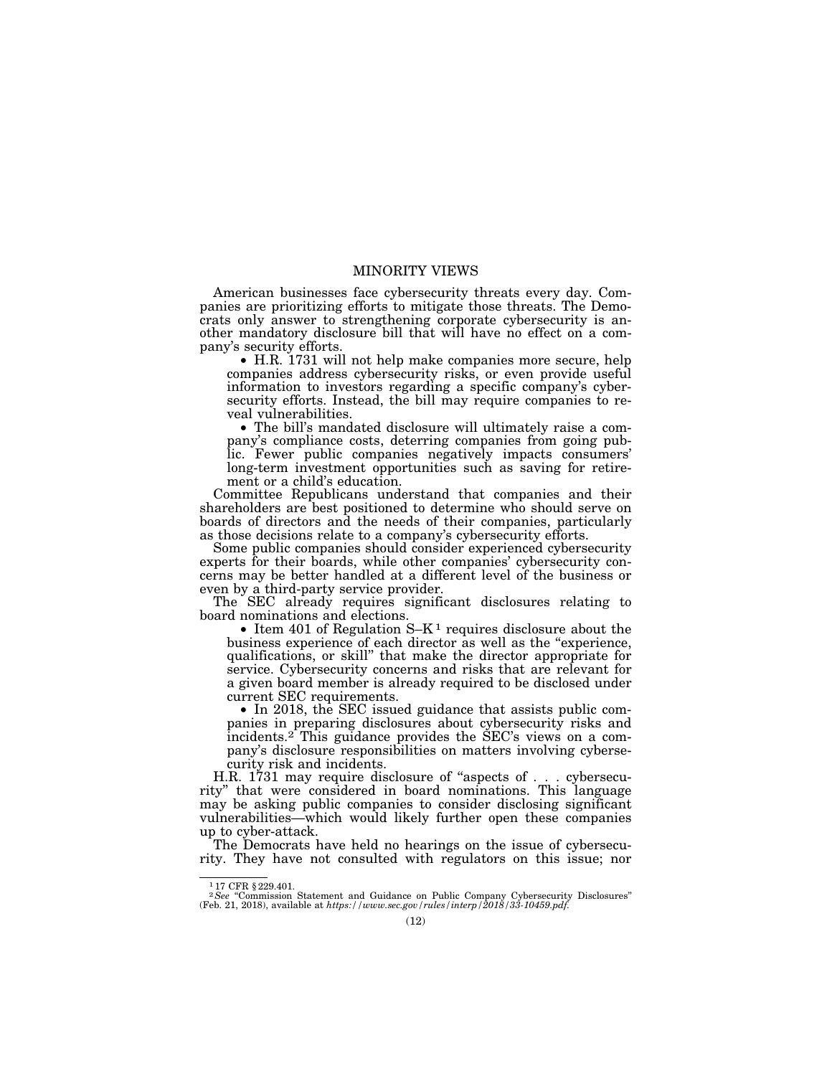# MINORITY VIEWS

American businesses face cybersecurity threats every day. Companies are prioritizing efforts to mitigate those threats. The Democrats only answer to strengthening corporate cybersecurity is another mandatory disclosure bill that will have no effect on a company's security efforts.

• H.R. 1731 will not help make companies more secure, help companies address cybersecurity risks, or even provide useful information to investors regarding a specific company's cybersecurity efforts. Instead, the bill may require companies to reveal vulnerabilities.

• The bill's mandated disclosure will ultimately raise a company's compliance costs, deterring companies from going public. Fewer public companies negatively impacts consumers' long-term investment opportunities such as saving for retirement or a child's education.

Committee Republicans understand that companies and their shareholders are best positioned to determine who should serve on boards of directors and the needs of their companies, particularly as those decisions relate to a company's cybersecurity efforts.

Some public companies should consider experienced cybersecurity experts for their boards, while other companies' cybersecurity concerns may be better handled at a different level of the business or even by a third-party service provider.

The SEC already requires significant disclosures relating to board nominations and elections.

• Item 401 of Regulation  $S-K^1$  requires disclosure about the business experience of each director as well as the "experience, qualifications, or skill'' that make the director appropriate for service. Cybersecurity concerns and risks that are relevant for a given board member is already required to be disclosed under current SEC requirements.

• In 2018, the SEC issued guidance that assists public companies in preparing disclosures about cybersecurity risks and incidents.2 This guidance provides the SEC's views on a company's disclosure responsibilities on matters involving cybersecurity risk and incidents.

H.R. 1731 may require disclosure of "aspects of . . . cybersecurity'' that were considered in board nominations. This language may be asking public companies to consider disclosing significant vulnerabilities—which would likely further open these companies up to cyber-attack.

The Democrats have held no hearings on the issue of cybersecurity. They have not consulted with regulators on this issue; nor

<sup>1</sup> 17 CFR § 229.401.

<sup>&</sup>lt;sup>2</sup>See "Commission Statement and Guidance on Public Company Cybersecurity Disclosures" (Feb. 21, 2018), available at *https://www.sec.gov/rules/interp/2018/33-10459.pdf*.